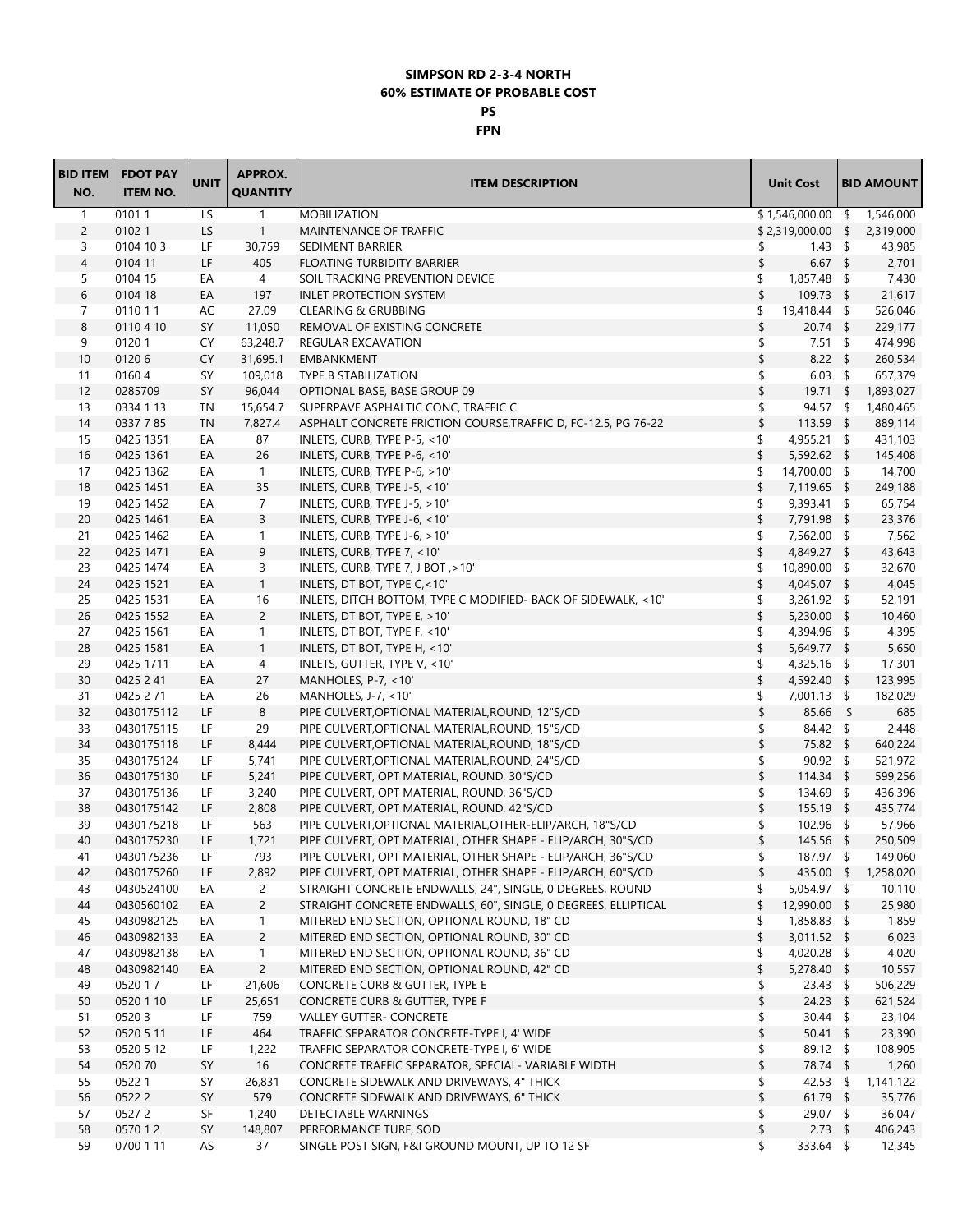## **SIMPSON RD 2-3-4 NORTH 60% ESTIMATE OF PROBABLE COST PS**

## **FPN**

| <b>BID ITEM</b> | <b>FDOT PAY</b> |             | <b>APPROX.</b>  |                                                                |                       |                   |
|-----------------|-----------------|-------------|-----------------|----------------------------------------------------------------|-----------------------|-------------------|
| NO.             | <b>ITEM NO.</b> | <b>UNIT</b> | <b>QUANTITY</b> | <b>ITEM DESCRIPTION</b>                                        | <b>Unit Cost</b>      | <b>BID AMOUNT</b> |
| $\mathbf{1}$    | 01011           | LS          | $\mathbf{1}$    | <b>MOBILIZATION</b>                                            | $$1,546,000.00$ \$    | 1,546,000         |
| $\overline{c}$  | 01021           | LS          | $\mathbf{1}$    | MAINTENANCE OF TRAFFIC                                         | $$2,319,000.00$ \$    | 2,319,000         |
| 3               | 0104 10 3       | LF          | 30,759          | SEDIMENT BARRIER                                               | $1.43 \quad$ \$<br>\$ | 43,985            |
| $\overline{4}$  | 0104 11         | LF          | 405             | <b>FLOATING TURBIDITY BARRIER</b>                              | \$<br>$6.67$ \$       | 2,701             |
| 5               | 0104 15         | EA          | 4               | SOIL TRACKING PREVENTION DEVICE                                | \$<br>$1,857.48$ \$   | 7,430             |
| 6               | 0104 18         | EA          | 197             | <b>INLET PROTECTION SYSTEM</b>                                 | \$<br>$109.73$ \$     | 21,617            |
| 7               | 0110 1 1        | AC          | 27.09           | <b>CLEARING &amp; GRUBBING</b>                                 | 19,418.44 \$<br>\$    | 526,046           |
| 8               | 0110 4 10       | SY          | 11,050          | REMOVAL OF EXISTING CONCRETE                                   | \$<br>$20.74$ \$      | 229,177           |
| 9               | 01201           | CY.         | 63,248.7        | REGULAR EXCAVATION                                             | \$<br>$7.51 \quad$ \$ | 474,998           |
| 10              | 01206           | CY          | 31,695.1        | EMBANKMENT                                                     | \$<br>$8.22$ \$       | 260,534           |
| 11              | 01604           | SY          | 109,018         | <b>TYPE B STABILIZATION</b>                                    | \$<br>$6.03 \quad$ \$ | 657,379           |
| 12              | 0285709         | SY          | 96,044          | OPTIONAL BASE, BASE GROUP 09                                   | \$<br>$19.71$ \$      | 1,893,027         |
| 13              | 0334 1 13       | TN          | 15,654.7        | SUPERPAVE ASPHALTIC CONC, TRAFFIC C                            | \$<br>$94.57$ \$      | 1,480,465         |
| 14              | 0337785         | <b>TN</b>   | 7,827.4         | ASPHALT CONCRETE FRICTION COURSE, TRAFFIC D, FC-12.5, PG 76-22 | \$<br>113.59 \$       | 889,114           |
| 15              | 0425 1351       | EA          | 87              | INLETS, CURB, TYPE P-5, <10'                                   | \$<br>4,955.21 \$     | 431,103           |
| 16              | 0425 1361       | EA          | 26              | INLETS, CURB, TYPE P-6, <10'                                   | \$<br>5,592.62 \$     | 145,408           |
| 17              | 0425 1362       | EA          | $\mathbf{1}$    | INLETS, CURB, TYPE P-6, >10'                                   | 14,700.00 \$<br>\$    | 14,700            |
| 18              | 0425 1451       | EA          | 35              | INLETS, CURB, TYPE J-5, <10'                                   | \$<br>7,119.65 \$     | 249,188           |
| 19              | 0425 1452       | EA          | $\overline{7}$  | INLETS, CURB, TYPE J-5, >10'                                   | 9,393.41 \$<br>\$     | 65,754            |
| 20              | 0425 1461       | EA          | 3               | INLETS, CURB, TYPE J-6, <10'                                   | \$<br>7,791.98 \$     | 23,376            |
| 21              | 0425 1462       | EA          | 1               | INLETS, CURB, TYPE J-6, >10'                                   | \$<br>7,562.00 \$     | 7,562             |
| 22              | 0425 1471       | EA          | 9               | INLETS, CURB, TYPE 7, <10'                                     | \$<br>4,849.27 \$     | 43,643            |
| 23              | 0425 1474       | EA          | 3               | INLETS, CURB, TYPE 7, J BOT, >10'                              | 10,890.00 \$<br>\$    | 32,670            |
| 24              | 0425 1521       | EA          | $\mathbf{1}$    | INLETS, DT BOT, TYPE C, < 10'                                  | \$<br>4,045.07 \$     | 4,045             |
| 25              | 0425 1531       | EA          | 16              | INLETS, DITCH BOTTOM, TYPE C MODIFIED- BACK OF SIDEWALK, <10'  | \$<br>3,261.92 \$     | 52,191            |
| 26              | 0425 1552       | EA          | $\overline{c}$  | INLETS, DT BOT, TYPE E, >10'                                   | \$<br>5,230.00 \$     | 10,460            |
| 27              | 0425 1561       | EA          | $\mathbf{1}$    | INLETS, DT BOT, TYPE F, <10'                                   | \$<br>4,394.96 \$     | 4,395             |
| 28              | 0425 1581       | EA          | $\mathbf{1}$    | INLETS, DT BOT, TYPE H, <10'                                   | \$<br>5,649.77 \$     | 5,650             |
| 29              | 0425 1711       | EA          | 4               | INLETS, GUTTER, TYPE V, <10'                                   | \$<br>$4,325.16$ \$   | 17,301            |
| 30              | 0425 2 41       | EA          | 27              | MANHOLES, $P - 7$ , <10'                                       | \$<br>4,592.40 \$     | 123,995           |
| 31              | 0425 2 71       | EA          | 26              | MANHOLES, J-7, $<$ 10'                                         | 7,001.13 \$<br>\$     | 182,029           |
| 32              | 0430175112      | LF          | 8               | PIPE CULVERT, OPTIONAL MATERIAL, ROUND, 12"S/CD                | \$<br>85.66 \$        | 685               |
| 33              | 0430175115      | LF          | 29              | PIPE CULVERT, OPTIONAL MATERIAL, ROUND, 15"S/CD                | \$<br>84.42 \$        | 2,448             |
| 34              | 0430175118      | LF          | 8,444           | PIPE CULVERT, OPTIONAL MATERIAL, ROUND, 18"S/CD                | \$<br>75.82 \$        | 640,224           |
| 35              | 0430175124      | LF          | 5,741           | PIPE CULVERT, OPTIONAL MATERIAL, ROUND, 24"S/CD                | \$<br>$90.92$ \$      | 521,972           |
| 36              | 0430175130      | LF          | 5,241           | PIPE CULVERT, OPT MATERIAL, ROUND, 30"S/CD                     | \$<br>$114.34$ \$     | 599,256           |
| 37              | 0430175136      | LF          | 3,240           | PIPE CULVERT, OPT MATERIAL, ROUND, 36"S/CD                     | \$<br>134.69 \$       | 436,396           |
| 38              | 0430175142      | LF          | 2,808           | PIPE CULVERT, OPT MATERIAL, ROUND, 42"S/CD                     | \$<br>$155.19$ \$     | 435,774           |
| 39              | 0430175218      | LF          | 563             | PIPE CULVERT, OPTIONAL MATERIAL, OTHER-ELIP/ARCH, 18"S/CD      | 102.96 \$<br>\$       | 57,966            |
| 40              | 0430175230      | LF          | 1,721           | PIPE CULVERT, OPT MATERIAL, OTHER SHAPE - ELIP/ARCH, 30"S/CD   | \$<br>145.56 \$       | 250,509           |
| 41              | 0430175236      | LF          | 793             | PIPE CULVERT, OPT MATERIAL, OTHER SHAPE - ELIP/ARCH, 36"S/CD   | \$<br>187.97 \$       | 149,060           |
| 42              | 0430175260      | LF          | 2,892           | PIPE CULVERT, OPT MATERIAL, OTHER SHAPE - ELIP/ARCH, 60"S/CD   | \$<br>435.00 \$       | 1,258,020         |
| 43              | 0430524100      | EA          | $\overline{c}$  | STRAIGHT CONCRETE ENDWALLS, 24", SINGLE, 0 DEGREES, ROUND      | 5,054.97 \$<br>\$     | 10,110            |
| 44              | 0430560102      | EA          | $\overline{c}$  | STRAIGHT CONCRETE ENDWALLS, 60", SINGLE, 0 DEGREES, ELLIPTICAL | \$<br>12,990.00 \$    | 25,980            |
| 45              | 0430982125      | EA          | 1               | MITERED END SECTION, OPTIONAL ROUND, 18" CD                    | 1,858.83 \$<br>\$     | 1,859             |
| 46              | 0430982133      | EA          | $\overline{2}$  | MITERED END SECTION, OPTIONAL ROUND, 30" CD                    | \$<br>3,011.52 \$     | 6,023             |
| 47              | 0430982138      | EA          | $\mathbf{1}$    | MITERED END SECTION, OPTIONAL ROUND, 36" CD                    | \$<br>4,020.28 \$     | 4,020             |
| 48              | 0430982140      | EA          | $\overline{c}$  | MITERED END SECTION, OPTIONAL ROUND, 42" CD                    | \$<br>5,278.40 \$     | 10,557            |
| 49              | 0520 17         | LF          | 21,606          | CONCRETE CURB & GUTTER, TYPE E                                 | $23.43$ \$<br>\$      | 506,229           |
| 50              | 0520 1 10       | LF          | 25,651          | CONCRETE CURB & GUTTER, TYPE F                                 | \$<br>$24.23$ \$      | 621,524           |
| 51              | 05203           | LF          | 759             | <b>VALLEY GUTTER- CONCRETE</b>                                 | \$<br>30.44 \$        | 23,104            |
| 52              | 0520 5 11       | LF          | 464             | TRAFFIC SEPARATOR CONCRETE-TYPE I, 4' WIDE                     | \$<br>$50.41$ \$      | 23,390            |
| 53              | 0520 5 12       | LF          | 1,222           | TRAFFIC SEPARATOR CONCRETE-TYPE I, 6' WIDE                     | 89.12 \$<br>\$        | 108,905           |
| 54              | 052070          | SY          | 16              | CONCRETE TRAFFIC SEPARATOR, SPECIAL- VARIABLE WIDTH            | \$<br>78.74 \$        | 1,260             |
| 55              | 05221           | SY          | 26,831          | CONCRETE SIDEWALK AND DRIVEWAYS, 4" THICK                      | \$<br>42.53 \$        | 1,141,122         |
| 56<br>57        | 05222<br>05272  | SY<br>SF    | 579<br>1,240    | CONCRETE SIDEWALK AND DRIVEWAYS, 6" THICK                      | \$<br>$61.79$ \$      | 35,776            |
|                 |                 |             |                 | DETECTABLE WARNINGS                                            | \$<br>29.07 \$        | 36,047            |
| 58              | 0570 12         | SY          | 148,807         | PERFORMANCE TURF, SOD                                          | \$<br>$2.73$ \$       | 406,243           |
| 59              | 0700 1 11       | AS          | 37              | SINGLE POST SIGN, F&I GROUND MOUNT, UP TO 12 SF                | \$<br>333.64 \$       | 12,345            |